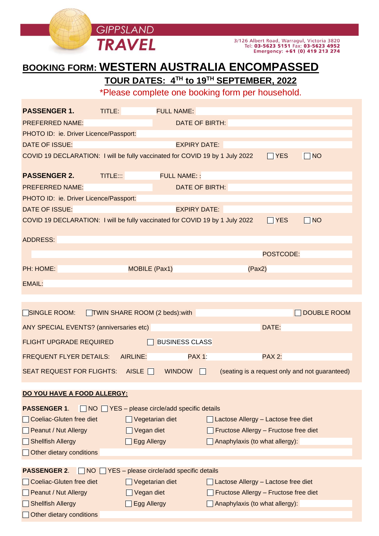

# **BOOKING FORM: WESTERN AUSTRALIA ENCOMPASSED**

**TOUR DATES: 4 TH to 19TH SEPTEMBER, 2022**

\*Please complete one booking form per household.

| <b>PASSENGER 1.</b>                                                                                                                                      | TITLE:                                                |                                              | <b>FULL NAME:</b>                      |                      |                                                                                                                |                        |                                                              |  |
|----------------------------------------------------------------------------------------------------------------------------------------------------------|-------------------------------------------------------|----------------------------------------------|----------------------------------------|----------------------|----------------------------------------------------------------------------------------------------------------|------------------------|--------------------------------------------------------------|--|
| <b>PREFERRED NAME:</b>                                                                                                                                   |                                                       |                                              | <b>DATE OF BIRTH:</b>                  |                      |                                                                                                                |                        |                                                              |  |
| PHOTO ID: ie. Driver Licence/Passport:                                                                                                                   |                                                       |                                              |                                        |                      |                                                                                                                |                        |                                                              |  |
| <b>DATE OF ISSUE:</b>                                                                                                                                    |                                                       |                                              | <b>EXPIRY DATE:</b>                    |                      |                                                                                                                |                        |                                                              |  |
| COVID 19 DECLARATION: I will be fully vaccinated for COVID 19 by 1 July 2022                                                                             |                                                       |                                              |                                        |                      |                                                                                                                | $\Box$ YES             | $\Box$ NO                                                    |  |
| <b>PASSENGER 2.</b>                                                                                                                                      | TITLE:::                                              |                                              | <b>FULL NAME::</b>                     |                      |                                                                                                                |                        |                                                              |  |
| <b>PREFERRED NAME:</b>                                                                                                                                   |                                                       | DATE OF BIRTH:                               |                                        |                      |                                                                                                                |                        |                                                              |  |
| PHOTO ID: ie. Driver Licence/Passport:                                                                                                                   |                                                       |                                              |                                        |                      |                                                                                                                |                        |                                                              |  |
| <b>DATE OF ISSUE:</b>                                                                                                                                    |                                                       |                                              | <b>EXPIRY DATE:</b>                    |                      |                                                                                                                |                        |                                                              |  |
| COVID 19 DECLARATION: I will be fully vaccinated for COVID 19 by 1 July 2022                                                                             |                                                       |                                              |                                        |                      |                                                                                                                | $\Box$ YES             | $\Box$ NO                                                    |  |
| <b>ADDRESS:</b>                                                                                                                                          |                                                       |                                              |                                        |                      |                                                                                                                |                        |                                                              |  |
|                                                                                                                                                          |                                                       |                                              |                                        |                      |                                                                                                                |                        |                                                              |  |
|                                                                                                                                                          |                                                       |                                              |                                        |                      |                                                                                                                | POSTCODE:              |                                                              |  |
| PH: HOME:                                                                                                                                                | <b>MOBILE (Pax1)</b>                                  |                                              |                                        |                      | (Pax2)                                                                                                         |                        |                                                              |  |
| <b>EMAIL:</b>                                                                                                                                            |                                                       |                                              |                                        |                      |                                                                                                                |                        |                                                              |  |
| SINGLE ROOM:<br>ANY SPECIAL EVENTS? (anniversaries etc)<br><b>FLIGHT UPGRADE REQUIRED</b><br><b>FREQUENT FLYER DETAILS:</b><br>SEAT REQUEST FOR FLIGHTS: | TWIN SHARE ROOM (2 beds): with<br>AIRLINE:            | AISLE $\Box$                                 | <b>BUSINESS CLASS</b><br><b>WINDOW</b> | <b>PAX 1:</b><br>II. |                                                                                                                | DATE:<br><b>PAX 2:</b> | OUBLE ROOM<br>(seating is a request only and not guaranteed) |  |
| DO YOU HAVE A FOOD ALLERGY:                                                                                                                              |                                                       |                                              |                                        |                      |                                                                                                                |                        |                                                              |  |
| <b>PASSENGER 1.</b><br><b>Coeliac-Gluten free diet</b><br><b>Peanut / Nut Allergy</b><br>Shellfish Allergy<br><b>Other dietary conditions</b>            | $NO \square YES - please circle/add specific details$ | Vegetarian diet<br>Vegan diet<br>Egg Allergy |                                        |                      | Lactose Allergy - Lactose free diet<br>Fructose Allergy - Fructose free diet<br>Anaphylaxis (to what allergy): |                        |                                                              |  |
| <b>PASSENGER 2.</b><br>NO  <br>$\mathbf{I}$                                                                                                              |                                                       | YES - please circle/add specific details     |                                        |                      |                                                                                                                |                        |                                                              |  |
| <b>Coeliac-Gluten free diet</b>                                                                                                                          |                                                       | Vegetarian diet                              |                                        |                      | Lactose Allergy - Lactose free diet                                                                            |                        |                                                              |  |
| Peanut / Nut Allergy                                                                                                                                     |                                                       | Vegan diet                                   |                                        |                      | Fructose Allergy - Fructose free diet                                                                          |                        |                                                              |  |
| <b>Shellfish Allergy</b>                                                                                                                                 |                                                       | Egg Allergy                                  |                                        |                      | Anaphylaxis (to what allergy):                                                                                 |                        |                                                              |  |
| Other dietary conditions                                                                                                                                 |                                                       |                                              |                                        |                      |                                                                                                                |                        |                                                              |  |